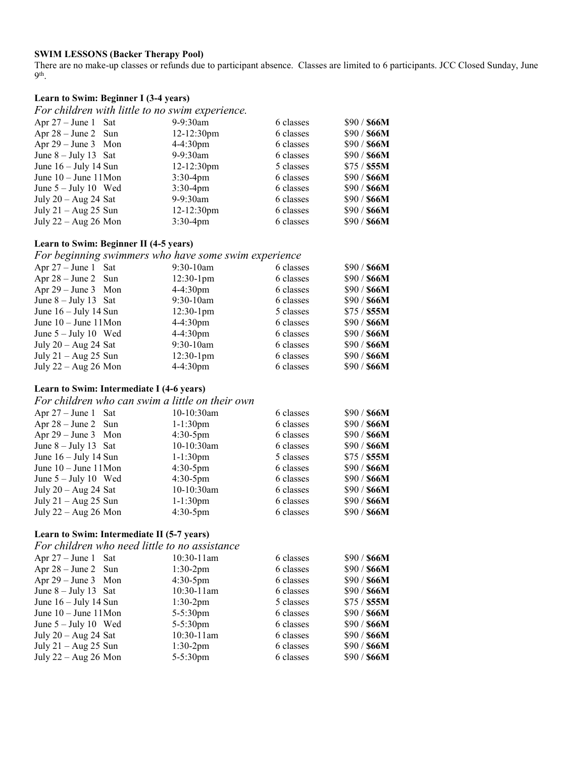## **SWIM LESSONS (Backer Therapy Pool)**

There are no make-up classes or refunds due to participant absence. Classes are limited to 6 participants. JCC Closed Sunday, June 9th.

# **Learn to Swim: Beginner I (3-4 years)**

*For children with little to no swim experience.* 

| $9-9:30$ am     | 6 classes | \$90 / \$66M |
|-----------------|-----------|--------------|
| $12 - 12:30$ pm | 6 classes | \$90 / \$66M |
| $4-4:30$ pm     | 6 classes | \$90 / \$66M |
| $9-9:30$ am     | 6 classes | \$90 / \$66M |
| $12 - 12:30$ pm | 5 classes | \$75 / \$55M |
| $3:30-4$ pm     | 6 classes | \$90 / \$66M |
| $3:30-4$ pm     | 6 classes | \$90 / \$66M |
| 9-9:30am        | 6 classes | \$90 / \$66M |
| $12 - 12:30$ pm | 6 classes | \$90 / \$66M |
| $3:30-4pm$      | 6 classes | \$90 / \$66M |
|                 |           |              |

## **Learn to Swim: Beginner II (4-5 years)**

*For beginning swimmers who have some swim experience*

| Apr $27 -$ June 1 Sat     | $9:30-10$ am       | 6 classes | \$90 / \$66M |
|---------------------------|--------------------|-----------|--------------|
| Apr $28 - June 2$ Sun     | $12:30-1$ pm       | 6 classes | \$90 / \$66M |
| Apr $29 - June 3$ Mon     | $4 - 4:30$ pm      | 6 classes | \$90 / \$66M |
| June $8 -$ July 13 Sat    | $9:30-10$ am       | 6 classes | \$90 / \$66M |
| June $16 -$ July 14 Sun   | $12:30-1$ pm       | 5 classes | $$75/$ \$55M |
| June $10 -$ June $11$ Mon | $4-4:30$ pm        | 6 classes | \$90 / \$66M |
| June $5 -$ July 10 Wed    | $4-4:30 \text{pm}$ | 6 classes | \$90 / \$66M |
| July $20 - Aug\ 24$ Sat   | $9:30-10$ am       | 6 classes | \$90 / \$66M |
| July $21 - Aug\ 25$ Sun   | $12:30-1$ pm       | 6 classes | \$90 / \$66M |
| July $22 - Aug\ 26$ Mon   | $4-4:30 \text{pm}$ | 6 classes | \$90 / \$66M |
|                           |                    |           |              |

## **Learn to Swim: Intermediate I (4-6 years)**

*For children who can swim a little on their own*

| Apr $27 -$ June 1 Sat     | 10-10:30am    | 6 classes | \$90 / \$66M |
|---------------------------|---------------|-----------|--------------|
| Apr $28 - June 2$ Sun     | $1 - 1:30$ pm | 6 classes | \$90 / \$66M |
| Apr $29 - June 3$ Mon     | $4:30-5$ pm   | 6 classes | \$90 / \$66M |
| June $8 -$ July 13 Sat    | 10-10:30am    | 6 classes | \$90 / \$66M |
| June $16 -$ July 14 Sun   | $1-1:30$ pm   | 5 classes | \$75 / \$55M |
| June $10 -$ June $11$ Mon | $4:30-5$ pm   | 6 classes | \$90 / \$66M |
| June $5 -$ July 10 Wed    | $4:30-5$ pm   | 6 classes | \$90 / \$66M |
| July $20 - Aug\ 24$ Sat   | 10-10:30am    | 6 classes | \$90 / \$66M |
| July $21 - Aug\ 25$ Sun   | $1 - 1:30$ pm | 6 classes | \$90 / \$66M |
| July $22 - Aug\ 26$ Mon   | $4:30-5$ pm   | 6 classes | \$90 / \$66M |

#### **Learn to Swim: Intermediate II (5-7 years)**

| For children who need little to no assistance |               |           |              |
|-----------------------------------------------|---------------|-----------|--------------|
| Apr $27 - June 1$ Sat                         | $10:30-11$ am | 6 classes | \$90 / \$66M |
| Apr $28 - June 2$ Sun                         | $1:30-2pm$    | 6 classes | \$90 / \$66M |
| Apr $29 - June 3$ Mon                         | $4:30-5$ pm   | 6 classes | \$90 / \$66M |
| June $8 -$ July 13 Sat                        | 10:30-11am    | 6 classes | \$90 / \$66M |
| June $16 -$ July 14 Sun                       | $1:30-2pm$    | 5 classes | \$75 / \$55M |
| June $10 -$ June $11$ Mon                     | $5 - 5:30$ pm | 6 classes | \$90 / \$66M |
| June $5 -$ July 10 Wed                        | $5 - 5:30$ pm | 6 classes | \$90 / \$66M |
| July $20 - Aug 24$ Sat                        | 10:30-11am    | 6 classes | \$90 / \$66M |
| July $21 - Aug\ 25$ Sun                       | $1:30-2pm$    | 6 classes | \$90 / \$66M |
| July $22 - Aug 26$ Mon                        | 5-5:30pm      | 6 classes | \$90 / \$66M |
|                                               |               |           |              |